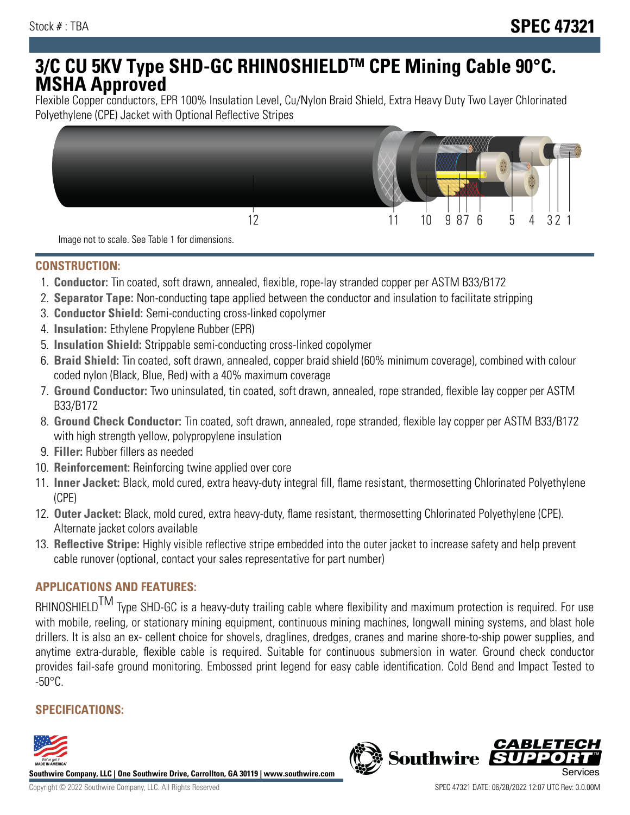# **3/C CU 5KV Type SHD-GC RHINOSHIELDTM CPE Mining Cable 90°C. MSHA Approved**

Flexible Copper conductors, EPR 100% Insulation Level, Cu/Nylon Braid Shield, Extra Heavy Duty Two Layer Chlorinated Polyethylene (CPE) Jacket with Optional Reflective Stripes



Image not to scale. See Table 1 for dimensions.

#### **CONSTRUCTION:**

- 1. **Conductor:** Tin coated, soft drawn, annealed, flexible, rope-lay stranded copper per ASTM B33/B172
- 2. **Separator Tape:** Non-conducting tape applied between the conductor and insulation to facilitate stripping
- 3. **Conductor Shield:** Semi-conducting cross-linked copolymer
- 4. **Insulation:** Ethylene Propylene Rubber (EPR)
- 5. **Insulation Shield:** Strippable semi-conducting cross-linked copolymer
- 6. **Braid Shield:** Tin coated, soft drawn, annealed, copper braid shield (60% minimum coverage), combined with colour coded nylon (Black, Blue, Red) with a 40% maximum coverage
- 7. **Ground Conductor:** Two uninsulated, tin coated, soft drawn, annealed, rope stranded, flexible lay copper per ASTM B33/B172
- 8. **Ground Check Conductor:** Tin coated, soft drawn, annealed, rope stranded, flexible lay copper per ASTM B33/B172 with high strength yellow, polypropylene insulation
- 9. **Filler:** Rubber fillers as needed
- 10. **Reinforcement:** Reinforcing twine applied over core
- 11. **Inner Jacket:** Black, mold cured, extra heavy-duty integral fill, flame resistant, thermosetting Chlorinated Polyethylene (CPE)
- 12. **Outer Jacket:** Black, mold cured, extra heavy-duty, flame resistant, thermosetting Chlorinated Polyethylene (CPE). Alternate jacket colors available
- 13. **Reflective Stripe:** Highly visible reflective stripe embedded into the outer jacket to increase safety and help prevent cable runover (optional, contact your sales representative for part number)

## **APPLICATIONS AND FEATURES:**

RHINOSHIELD<sup>TM</sup> Type SHD-GC is a heavy-duty trailing cable where flexibility and maximum protection is required. For use with mobile, reeling, or stationary mining equipment, continuous mining machines, longwall mining systems, and blast hole drillers. It is also an ex- cellent choice for shovels, draglines, dredges, cranes and marine shore-to-ship power supplies, and anytime extra-durable, flexible cable is required. Suitable for continuous submersion in water. Ground check conductor provides fail-safe ground monitoring. Embossed print legend for easy cable identification. Cold Bend and Impact Tested to  $-50^{\circ}$ C.

### **SPECIFICATIONS:**



**Southwire Company, LLC | One Southwire Drive, Carrollton, GA 30119 | www.southwire.com**

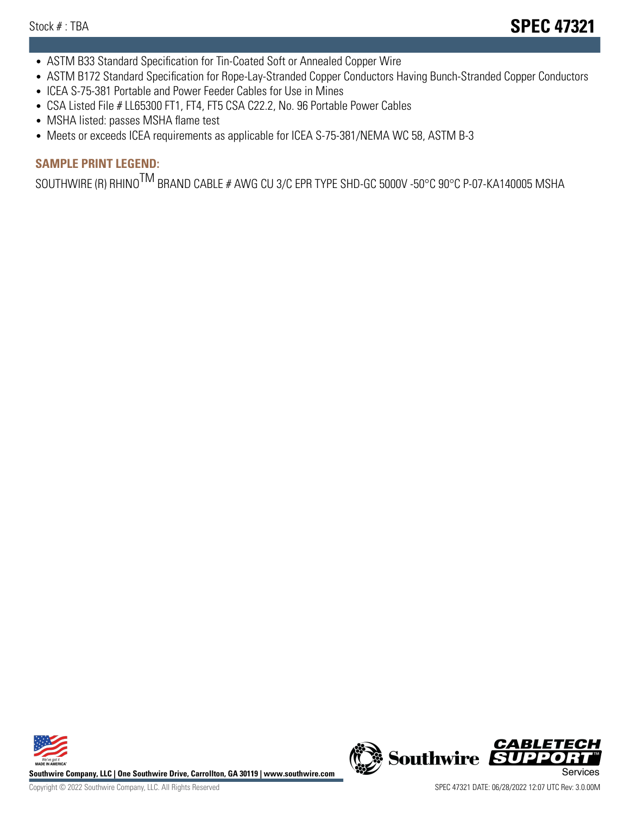- ASTM B33 Standard Specification for Tin-Coated Soft or Annealed Copper Wire
- ASTM B172 Standard Specification for Rope-Lay-Stranded Copper Conductors Having Bunch-Stranded Copper Conductors
- ICEA S-75-381 Portable and Power Feeder Cables for Use in Mines
- CSA Listed File # LL65300 FT1, FT4, FT5 CSA C22.2, No. 96 Portable Power Cables
- MSHA listed: passes MSHA flame test
- Meets or exceeds ICEA requirements as applicable for ICEA S-75-381/NEMA WC 58, ASTM B-3

## **SAMPLE PRINT LEGEND:**

SOUTHWIRE (R) RHINO<sup>TM</sup> BRAND CABLE # AWG CU 3/C EPR TYPE SHD-GC 5000V -50°C 90°C P-07-KA140005 MSHA